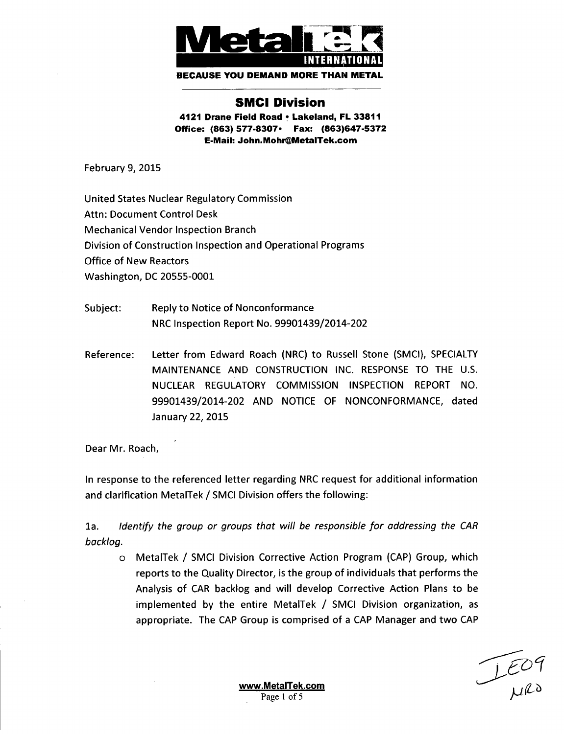

**BECAUSE YOU DEMAND** MORE **THAN** METAL

## **SMCI** Division

4121 Drane Field Road **\*** Lakeland, FL **33811** Office: **(863) 577-8307.** Fax: **(863)647-5372** E-Mail: John.Mohr@MetalTek.com

February 9, 2015

United States Nuclear Regulatory Commission Attn: Document Control Desk Mechanical Vendor Inspection Branch Division of Construction Inspection and Operational Programs Office of New Reactors Washington, DC 20555-0001

- Subject: Reply to Notice of Nonconformance NRC Inspection Report No. 99901439/2014-202
- Reference: Letter from Edward Roach (NRC) to Russell Stone (SMCI), SPECIALTY MAINTENANCE AND CONSTRUCTION INC. RESPONSE TO THE U.S. NUCLEAR REGULATORY COMMISSION INSPECTION REPORT NO. 99901439/2014-202 AND NOTICE OF NONCONFORMANCE, dated January 22, **2015**

Dear Mr. Roach,

In response to the referenced letter regarding NRC request for additional information and clarification MetalTek **/** SMCI Division offers the following:

la. *Identify the group or groups that will be responsible for* addressing *the CAR backlog.*

o MetalTek **/** SMCI Division Corrective Action Program (CAP) Group, which reports to the Quality Director, is the group of individuals that performs the Analysis of CAR backlog and will develop Corrective Action Plans to be implemented by the entire MetalTek **/** SMCI Division organization, as appropriate. The CAP Group is comprised of a CAP Manager and two CAP

 $L$ EOT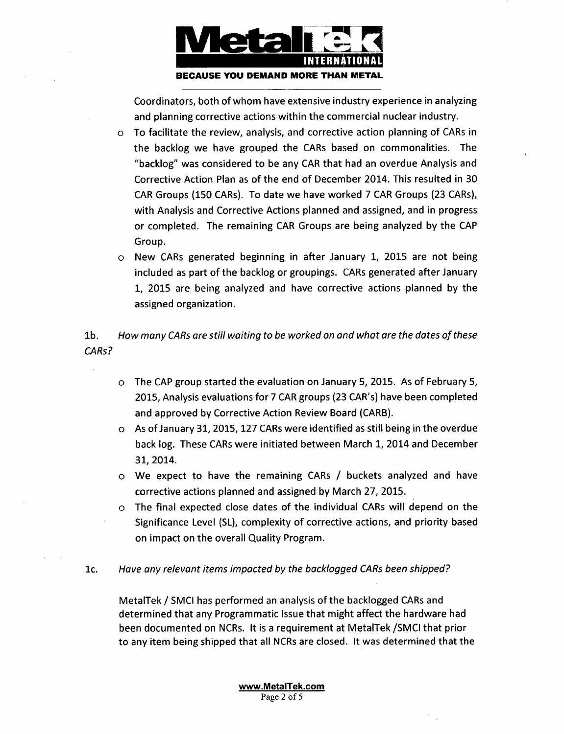

Coordinators, both of whom have extensive industry experience in analyzing and planning corrective actions within the commercial nuclear industry.

- o To facilitate the review, analysis, and corrective action planning of CARs in the backlog we have grouped the CARs based on commonalities. The "backlog" was considered to be any CAR that had an overdue Analysis and Corrective Action Plan as of the end of December 2014. This resulted in 30 CAR Groups (150 CARs). To date we have worked 7 CAR Groups (23 CARs), with Analysis and Corrective Actions planned and assigned, and in progress or completed. The remaining CAR Groups are being analyzed by the CAP Group.
- o New CARs generated beginning in after January 1, 2015 are not being included as part of the backlog or groupings. CARs generated after January 1, 2015 are being analyzed and have corrective actions planned by the assigned organization.

lb. *How many CARs are still waiting to be worked on and what are the dates of these CARs?*

- o The CAP group started the evaluation on January 5, 2015. As of February 5, 2015, Analysis evaluations for 7 CAR groups (23 CAR's) have been completed and approved by Corrective Action Review Board (CARB).
- o As of January 31, 2015, 127 CARs were identified as still being in the overdue back log. These CARs were initiated between March 1, 2014 and December 31, 2014.
- o We expect to have the remaining CARs / buckets analyzed and have corrective actions planned and assigned by March 27, 2015.
- o The final expected close dates of the individual CARs will depend on the Significance Level (SL), complexity of corrective actions, and priority based on impact on the overall Quality Program.
- **1c.** *Have any relevant items impacted by the backlogged CARs been shipped?*

MetalTek **/** SMCI has performed an analysis of the backlogged CARs and determined that any Programmatic Issue that might affect the hardware had been documented on NCRs. It is a requirement at MetalTek /SMCI that prior to any item being shipped that all NCRs are closed. It was determined that the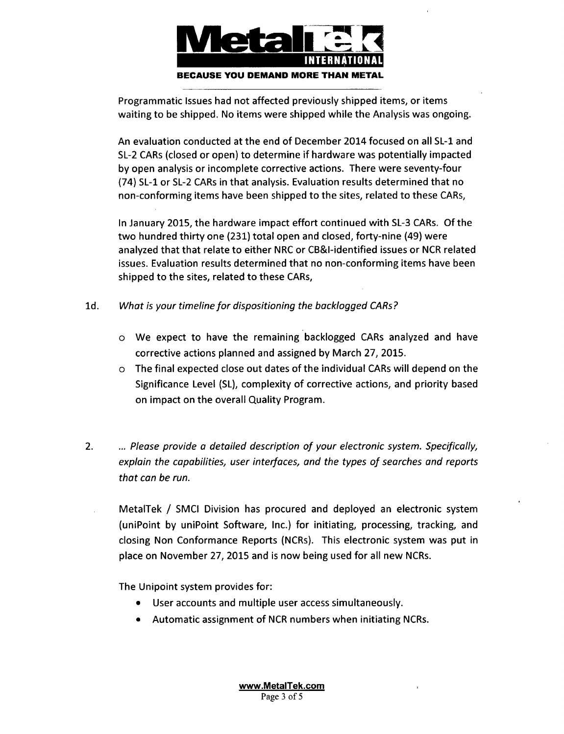

Programmatic Issues had not affected previously shipped items, or items waiting to be shipped. No items were shipped while the Analysis was ongoing.

An evaluation conducted at the end of December 2014 focused on all SL-1 and SL-2 CARs (closed or open) to determine if hardware was potentially impacted by open analysis or incomplete corrective actions. There were seventy-four (74) SL-1 or SL-2 CARs in that analysis. Evaluation results determined that no non-conforming items have been shipped to the sites, related to these CARs,

In January 2015, the hardware impact effort continued with SL-3 CARs. Of the two hundred thirty one (231) total open and closed, forty-nine (49) were analyzed that that relate to either NRC or CB&I-identified issues or NCR related issues. Evaluation results determined that no non-conforming items have been shipped to the sites, related to these CARs,

- **1d.** *What is your timeline for dispositioning the backlogged CARs?*
	- o We expect to have the remaining backlogged CARs analyzed and have corrective actions planned and assigned by March 27, 2015.
	- o The final expected close out dates of the individual CARs will depend on the Significance Level (SL), complexity of corrective actions, and priority based on impact on the overall Quality Program.
- 2. ... *Please provide a detailed description of your electronic system. Specifically, explain the capabilities, user interfaces, and the types of searches and reports that can be run.*
	- MetalTek / SMCI Division has procured and deployed an electronic system (uniPoint by uniPoint Software, Inc.) for initiating, processing, tracking, and closing Non Conformance Reports (NCRs). This electronic system was put in place on November 27, 2015 and is now being used for all new NCRs.

The Unipoint system provides for:

- **"** User accounts and multiple user access simultaneously.
- Automatic assignment of NCR numbers when initiating NCRs.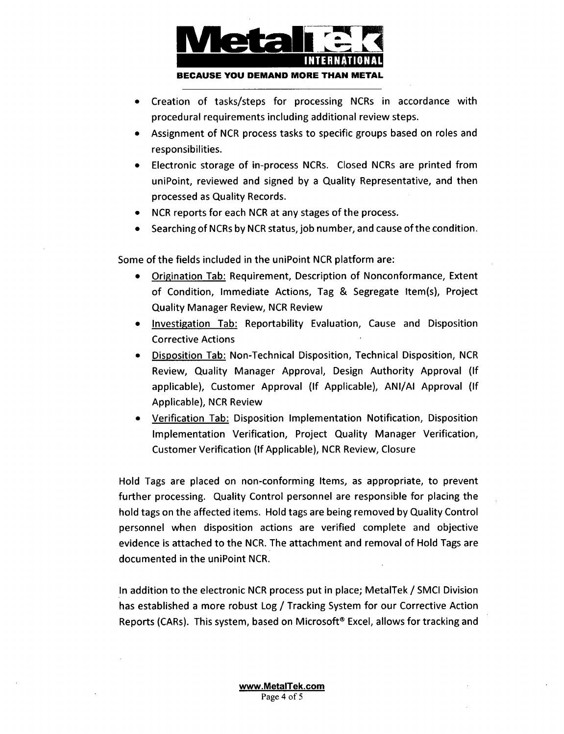

- **"** Creation of tasks/steps for processing NCRs in accordance with procedural requirements including additional review steps.
- **"** Assignment of NCR process tasks to specific groups based on roles and responsibilities.
- **"** Electronic storage of in-process NCRs. Closed NCRs are printed from uniPoint, reviewed and signed by a Quality Representative, and then processed as Quality Records.
- NCR reports for each NCR at any stages of the process.
- Searching of NCRs by NCR status, job number, and cause of the condition.

Some of the fields included in the uniPoint NCR platform are:

- **"** Origination Tab: Requirement, Description of Nonconformance, Extent of Condition, Immediate Actions, Tag & Segregate Item(s), Project Quality Manager Review, NCR Review
- **"** Investigation Tab: Reportability Evaluation, Cause and Disposition Corrective Actions
- **"** Disposition Tab: Non-Technical Disposition, Technical Disposition, NCR Review, Quality Manager Approval, Design Authority Approval **(If** applicable), Customer Approval **(If** Applicable), ANI/AI Approval **(If** Applicable), NCR Review
- Verification Tab: Disposition Implementation Notification, Disposition Implementation Verification, Project Quality Manager Verification, Customer Verification (If Applicable), NCR Review, Closure

Hold Tags are placed on non-conforming Items, as appropriate, to prevent further processing. Quality Control personnel are responsible for placing the hold tags on the affected items. Hold tags are being removed by Quality Control personnel when disposition actions are verified complete and objective evidence is attached to the NCR. The attachment and removal of Hold Tags are documented in the uniPoint NCR.

In addition to the electronic NCR process put in place; MetalTek **/** SMCI Division has established a more robust Log / Tracking System for our Corrective Action Reports (CARs). This system, based on Microsoft® Excel, allows for tracking and